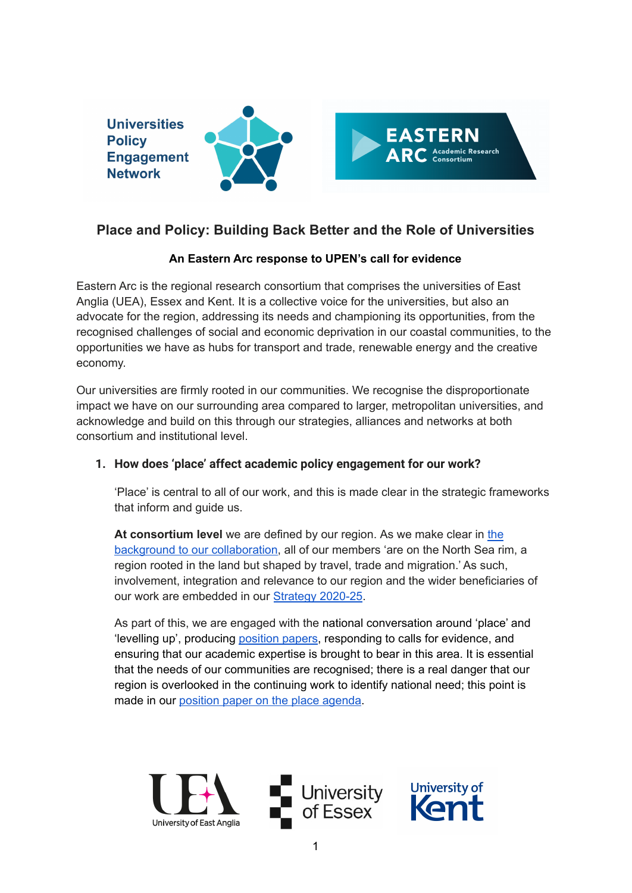

# **Place and Policy: Building Back Better and the Role of Universities**

# **An Eastern Arc response to UPEN's call for evidence**

Eastern Arc is the regional research consortium that comprises the universities of East Anglia (UEA), Essex and Kent. It is a collective voice for the universities, but also an advocate for the region, addressing its needs and championing its opportunities, from the recognised challenges of social and economic deprivation in our coastal communities, to the opportunities we have as hubs for transport and trade, renewable energy and the creative economy.

Our universities are firmly rooted in our communities. We recognise the disproportionate impact we have on our surrounding area compared to larger, metropolitan universities, and acknowledge and build on this through our strategies, alliances and networks at both consortium and institutional level.

# **1. How does 'place' affect academic policy engagement for our work?**

'Place' is central to all of our work, and this is made clear in the strategic frameworks that inform and guide us.

**At consortium level** we are defined by our region. As we make clear in [the](https://easternarc.ac.uk/background/) background to our [collaboration,](https://easternarc.ac.uk/background/) all of our members 'are on the North Sea rim, a region rooted in the land but shaped by travel, trade and migration.' As such, involvement, integration and relevance to our region and the wider beneficiaries of our work are embedded in our [Strategy](https://easternarc.ac.uk/our-strategy-2020-25/) 2020-25.

As part of this, we are engaged with the national conversation around 'place' and 'levelling up', producing [position](https://easternarc.ac.uk/position-papers/) papers, responding to calls for evidence, and ensuring that our academic expertise is brought to bear in this area. It is essential that the needs of our communities are recognised; there is a real danger that our region is overlooked in the continuing work to identify national need; this point is made in our [position](https://easternarc.ac.uk/place-agenda/) paper on the place agenda.

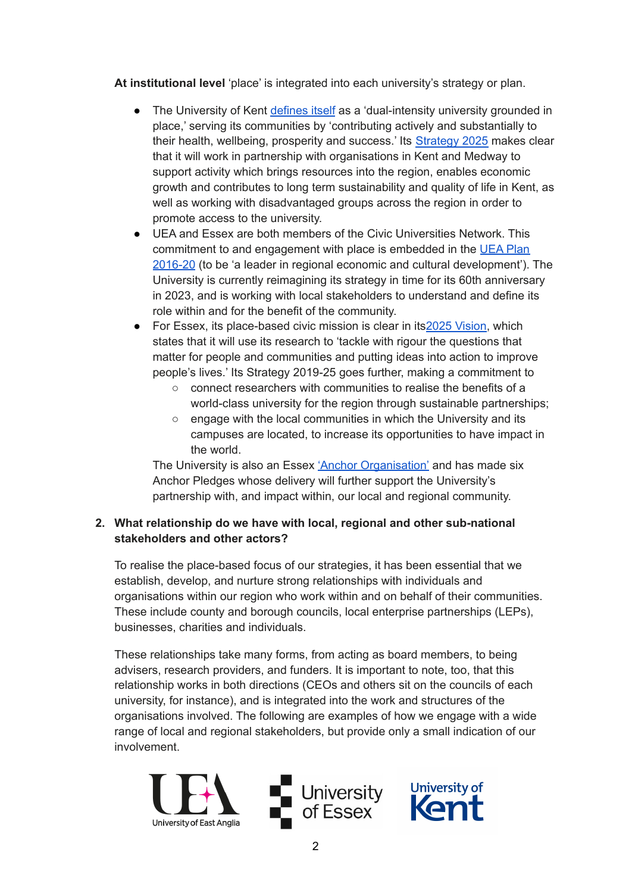**At institutional level** 'place' is integrated into each university's strategy or plan.

- The University of Kent [defines](https://media.www.kent.ac.uk/se/22530/Kent2025Mid-TermReviewFinal.pdf) itself as a 'dual-intensity university grounded in place,' serving its communities by 'contributing actively and substantially to their health, wellbeing, prosperity and success.' Its [Strategy](https://media.www.kent.ac.uk/se/13171/strategy-2025.pdf) 2025 makes clear that it will work in partnership with organisations in Kent and Medway to support activity which brings resources into the region, enables economic growth and contributes to long term sustainability and quality of life in Kent, as well as working with disadvantaged groups across the region in order to promote access to the university.
- UEA and Essex are both members of the Civic Universities Network. This commitment to and engagement with place is embedded in the [UEA](https://www.uea.ac.uk/documents/20142/1370399/UEA+Plan+2016-2020.pdf/fcd8c9a4-5e03-8fd8-104b-b2a0ea900274?t=1586343176284) Plan [2016-20](https://www.uea.ac.uk/documents/20142/1370399/UEA+Plan+2016-2020.pdf/fcd8c9a4-5e03-8fd8-104b-b2a0ea900274?t=1586343176284) (to be 'a leader in regional economic and cultural development'). The University is currently reimagining its strategy in time for its 60th anniversary in 2023, and is working with local stakeholders to understand and define its role within and for the benefit of the community.
- For Essex, its place-based civic mission is clear in its 2025 [Vision](https://www.essex.ac.uk/governance-and-strategy/university-strategy), which states that it will use its research to 'tackle with rigour the questions that matter for people and communities and putting ideas into action to improve people's lives.' Its Strategy 2019-25 goes further, making a commitment to
	- connect researchers with communities to realise the benefits of a world-class university for the region through sustainable partnerships:
	- engage with the local communities in which the University and its campuses are located, to increase its opportunities to have impact in the world.

The University is also an Essex 'Anchor [Organisation'](https://www.essexfuture.org.uk/boards-networks/anchor-institutions/what-are-anchor-institutions/) and has made six Anchor Pledges whose delivery will further support the University's partnership with, and impact within, our local and regional community.

# **2. What relationship do we have with local, regional and other sub-national stakeholders and other actors?**

To realise the place-based focus of our strategies, it has been essential that we establish, develop, and nurture strong relationships with individuals and organisations within our region who work within and on behalf of their communities. These include county and borough councils, local enterprise partnerships (LEPs), businesses, charities and individuals.

These relationships take many forms, from acting as board members, to being advisers, research providers, and funders. It is important to note, too, that this relationship works in both directions (CEOs and others sit on the councils of each university, for instance), and is integrated into the work and structures of the organisations involved. The following are examples of how we engage with a wide range of local and regional stakeholders, but provide only a small indication of our involvement.

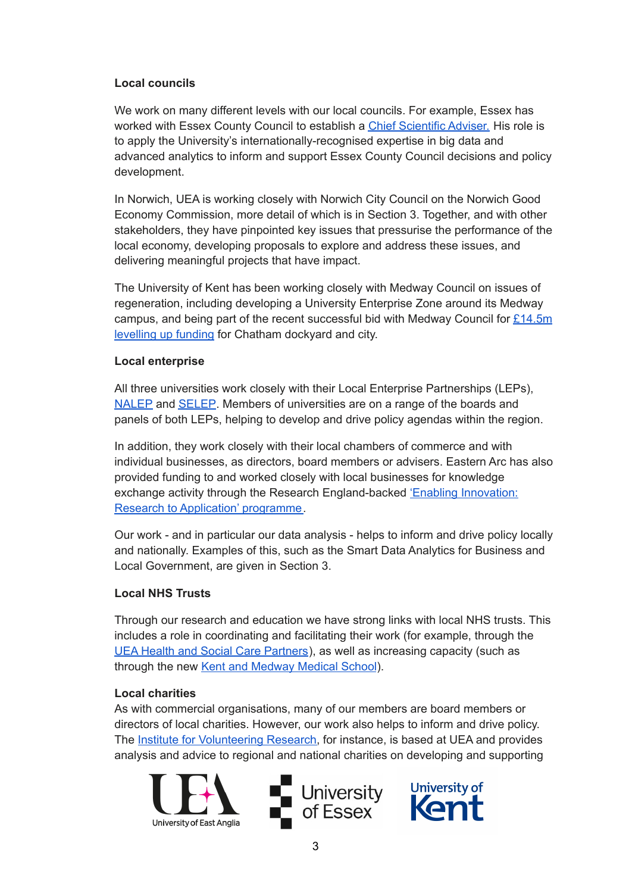#### **Local councils**

We work on many different levels with our local councils. For example, Essex has worked with Essex County Council to establish a Chief [Scientific](https://www.essex.ac.uk/news/2019/05/24/new-chief-scientific-adviser-for-essex) Adviser. His role is to apply the University's internationally-recognised expertise in big data and advanced analytics to inform and support Essex County Council decisions and policy development.

In Norwich, UEA is working closely with Norwich City Council on the Norwich Good Economy Commission, more detail of which is in Section 3. Together, and with other stakeholders, they have pinpointed key issues that pressurise the performance of the local economy, developing proposals to explore and address these issues, and delivering meaningful projects that have impact.

The University of Kent has been working closely with Medway Council on issues of regeneration, including developing a University Enterprise Zone around its Medway campus, and being part of the recent successful bid with Medway Council for  $£14.5m$ [levelling](https://www.medway.gov.uk/news/article/1037/medway_to_receive_nearly_145million_government_funding#:~:text=We%20will%20receive%20%C2%A314.4,and%20protect%20culture%20and%20heritage.) up funding for Chatham dockyard and city.

#### **Local enterprise**

All three universities work closely with their Local Enterprise Partnerships (LEPs), [NALEP](https://newanglia.co.uk/) and [SELEP.](https://www.southeastlep.com/) Members of universities are on a range of the boards and panels of both LEPs, helping to develop and drive policy agendas within the region.

In addition, they work closely with their local chambers of commerce and with individual businesses, as directors, board members or advisers. Eastern Arc has also provided funding to and worked closely with local businesses for knowledge exchange activity through the Research England-backed 'Enabling [Innovation:](https://eira.ac.uk/) Research to Application' [programme.](https://eira.ac.uk/)

Our work - and in particular our data analysis - helps to inform and drive policy locally and nationally. Examples of this, such as the Smart Data Analytics for Business and Local Government, are given in Section 3.

#### **Local NHS Trusts**

Through our research and education we have strong links with local NHS trusts. This includes a role in coordinating and facilitating their work (for example, through the UEA Health and Social Care [Partners](https://www.uea.ac.uk/groups-and-centres/uea-health-and-social-care-partners)), as well as increasing capacity (such as through the new Kent and [Medway](https://kmms.ac.uk/) Medical School).

#### **Local charities**

As with commercial organisations, many of our members are board members or directors of local charities. However, our work also helps to inform and drive policy. The Institute for [Volunteering](https://www.uea.ac.uk/groups-and-centres/institute-for-volunteering-research) Research, for instance, is based at UEA and provides analysis and advice to regional and national charities on developing and supporting

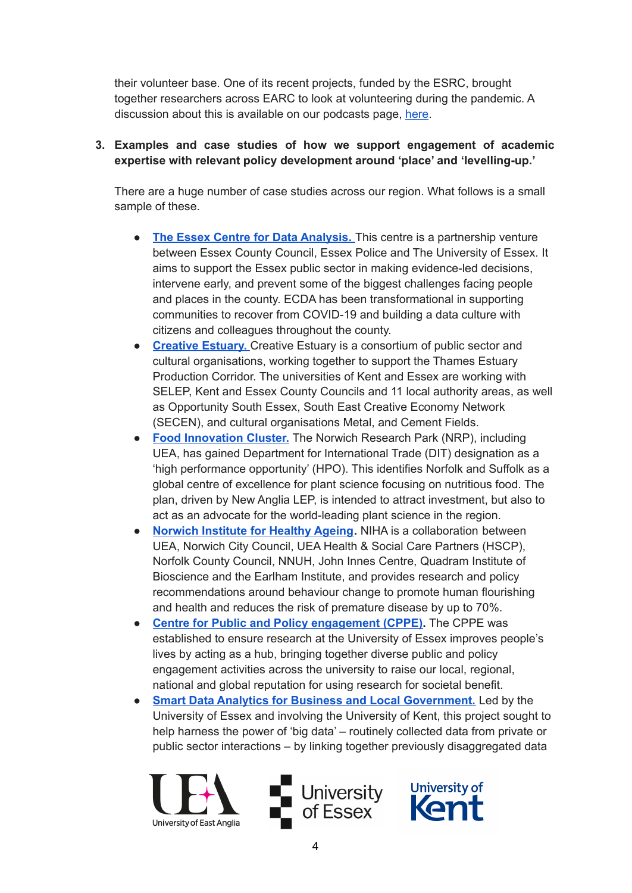their volunteer base. One of its recent projects, funded by the ESRC, brought together researchers across EARC to look at volunteering during the pandemic. A discussion about this is available on our podcasts page, [here](https://easternarc.ac.uk/podcasts/episode-13-volunteering-across-the-uk-during-the-pandemic/).

### **3. Examples and case studies of how we support engagement of academic expertise with relevant policy development around 'place' and 'levelling-up.'**

There are a huge number of case studies across our region. What follows is a small sample of these.

- **The Essex Centre for Data [Analysis.](https://www.essexfuture.org.uk/ecda/essex-centre-for-data-analytics/)** This centre is a partnership venture between Essex County Council, Essex Police and The University of Essex. It aims to support the Essex public sector in making evidence-led decisions, intervene early, and prevent some of the biggest challenges facing people and places in the county. ECDA has been transformational in supporting communities to recover from COVID-19 and building a data culture with citizens and colleagues throughout the county.
- **[Creative](https://www.creativeestuary.com/) Estuary.** Creative Estuary is a consortium of public sector and cultural organisations, working together to support the Thames Estuary Production Corridor. The universities of Kent and Essex are working with SELEP, Kent and Essex County Councils and 11 local authority areas, as well as Opportunity South Essex, South East Creative Economy Network (SECEN), and cultural organisations Metal, and Cement Fields.
- **Food [Innovation](https://www.foodingredientsfirst.com/news/uk-attracts-foreign-investment-for-plant-science-health-and-nutrition.html) Cluster.** The Norwich Research Park (NRP), including UEA, has gained Department for International Trade (DIT) designation as a 'high performance opportunity' (HPO). This identifies Norfolk and Suffolk as a global centre of excellence for plant science focusing on nutritious food. The plan, driven by New Anglia LEP, is intended to attract investment, but also to act as an advocate for the world-leading plant science in the region.
- **[Norwich](https://healthyageingnorwich.com/) Institute for Healthy Ageing.** NIHA is a collaboration between UEA, Norwich City Council, UEA Health & Social Care Partners (HSCP), Norfolk County Council, NNUH, John Innes Centre, Quadram Institute of Bioscience and the Earlham Institute, and provides research and policy recommendations around behaviour change to promote human flourishing and health and reduces the risk of premature disease by up to 70%.
- **Centre for Public and Policy [engagement](https://www.essex.ac.uk/centres-and-institutes/public-engagement) (CPPE).** The CPPE was established to ensure research at the University of Essex improves people's lives by acting as a hub, bringing together diverse public and policy engagement activities across the university to raise our local, regional, national and global reputation for using research for societal benefit.
- **Smart Data Analytics for Business and Local [Government.](https://gtr.ukri.org/projects?ref=ES%2FL011859%2F1)** Led by the University of Essex and involving the University of Kent, this project sought to help harness the power of 'big data' – routinely collected data from private or public sector interactions – by linking together previously disaggregated data

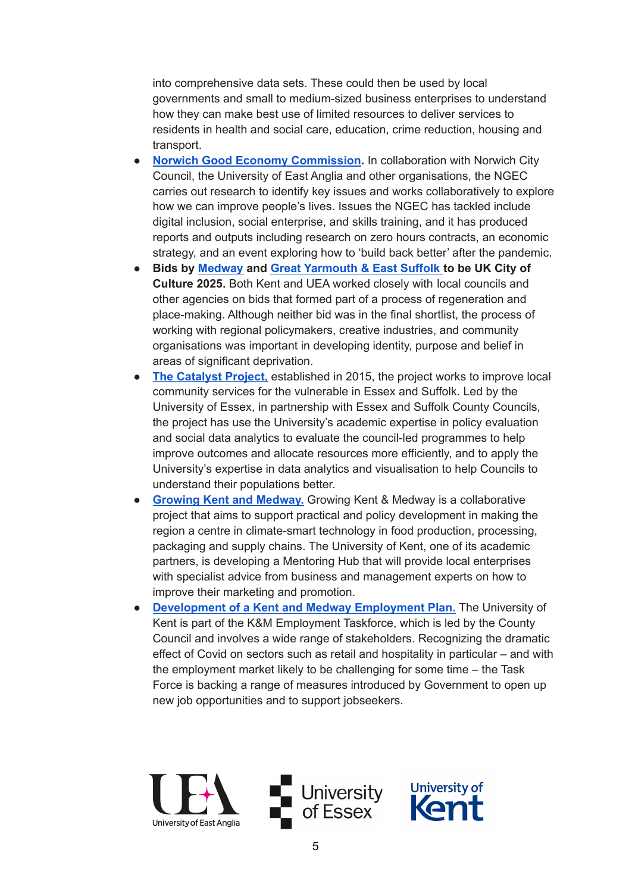into comprehensive data sets. These could then be used by local governments and small to medium-sized business enterprises to understand how they can make best use of limited resources to deliver services to residents in health and social care, education, crime reduction, housing and transport.

- **Norwich Good Economy [Commission.](https://www.norwichgoodeconomy.com/)** In collaboration with Norwich City Council, the University of East Anglia and other organisations, the NGEC carries out research to identify key issues and works collaboratively to explore how we can improve people's lives. Issues the NGEC has tackled include digital inclusion, social enterprise, and skills training, and it has produced reports and outputs including research on zero hours contracts, an economic strategy, and an event exploring how to 'build back better' after the pandemic.
- **Bids by [Medway](https://medway2025.co.uk/) and Great [Yarmouth](https://www.great-yarmouth.gov.uk/article/7692/Communities-support-exciting-UK-City-of-Culture-2025-bid-by-Great-Yarmouth-Borough-and-East-Suffolk-Councils) & East Suffolk to be UK City of Culture 2025.** Both Kent and UEA worked closely with local councils and other agencies on bids that formed part of a process of regeneration and place-making. Although neither bid was in the final shortlist, the process of working with regional policymakers, creative industries, and community organisations was important in developing identity, purpose and belief in areas of significant deprivation.
- **The [Catalyst](https://www.essex.ac.uk/research-projects/catalyst) Project,** established in 2015, the project works to improve local community services for the vulnerable in Essex and Suffolk. Led by the University of Essex, in partnership with Essex and Suffolk County Councils, the project has use the University's academic expertise in policy evaluation and social data analytics to evaluate the council-led programmes to help improve outcomes and allocate resources more efficiently, and to apply the University's expertise in data analytics and visualisation to help Councils to understand their populations better.
- **Growing Kent and [Medway.](https://www.growingkentandmedway.com/)** Growing Kent & Medway is a collaborative project that aims to support practical and policy development in making the region a centre in climate-smart technology in food production, processing, packaging and supply chains. The University of Kent, one of its academic partners, is developing a Mentoring Hub that will provide local enterprises with specialist advice from business and management experts on how to improve their marketing and promotion.
- **[Development](https://www.kent.gov.uk/__data/assets/pdf_file/0003/116706/Kent-and-Medway-Employment-Plan.pdf) of a Kent and Medway Employment Plan.** The University of Kent is part of the K&M Employment Taskforce, which is led by the County Council and involves a wide range of stakeholders. Recognizing the dramatic effect of Covid on sectors such as retail and hospitality in particular – and with the employment market likely to be challenging for some time – the Task Force is backing a range of measures introduced by Government to open up new job opportunities and to support jobseekers.